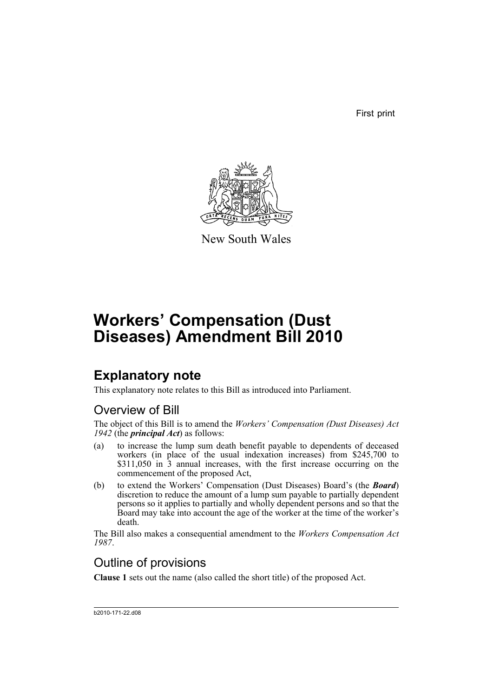First print



New South Wales

# **Workers' Compensation (Dust Diseases) Amendment Bill 2010**

## **Explanatory note**

This explanatory note relates to this Bill as introduced into Parliament.

## Overview of Bill

The object of this Bill is to amend the *Workers' Compensation (Dust Diseases) Act 1942* (the *principal Act*) as follows:

- (a) to increase the lump sum death benefit payable to dependents of deceased workers (in place of the usual indexation increases) from \$245,700 to \$311,050 in  $\overline{3}$  annual increases, with the first increase occurring on the commencement of the proposed Act,
- (b) to extend the Workers' Compensation (Dust Diseases) Board's (the *Board*) discretion to reduce the amount of a lump sum payable to partially dependent persons so it applies to partially and wholly dependent persons and so that the Board may take into account the age of the worker at the time of the worker's death.

The Bill also makes a consequential amendment to the *Workers Compensation Act 1987*.

## Outline of provisions

**Clause 1** sets out the name (also called the short title) of the proposed Act.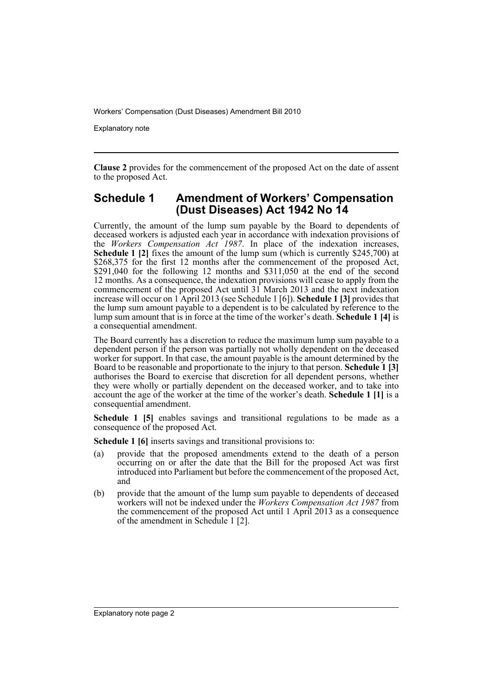Explanatory note

**Clause 2** provides for the commencement of the proposed Act on the date of assent to the proposed Act.

#### **Schedule 1 Amendment of Workers' Compensation (Dust Diseases) Act 1942 No 14**

Currently, the amount of the lump sum payable by the Board to dependents of deceased workers is adjusted each year in accordance with indexation provisions of the *Workers Compensation Act 1987*. In place of the indexation increases, **Schedule 1 [2]** fixes the amount of the lump sum (which is currently \$245,700) at \$268,375 for the first 12 months after the commencement of the proposed Act,  $$291,040$  for the following 12 months and  $$311,050$  at the end of the second 12 months. As a consequence, the indexation provisions will cease to apply from the commencement of the proposed Act until 31 March 2013 and the next indexation increase will occur on 1 April 2013 (see Schedule 1 [6]). **Schedule 1 [3]** provides that the lump sum amount payable to a dependent is to be calculated by reference to the lump sum amount that is in force at the time of the worker's death. **Schedule 1 [4]** is a consequential amendment.

The Board currently has a discretion to reduce the maximum lump sum payable to a dependent person if the person was partially not wholly dependent on the deceased worker for support. In that case, the amount payable is the amount determined by the Board to be reasonable and proportionate to the injury to that person. **Schedule 1 [3]** authorises the Board to exercise that discretion for all dependent persons, whether they were wholly or partially dependent on the deceased worker, and to take into account the age of the worker at the time of the worker's death. **Schedule 1 [1]** is a consequential amendment.

**Schedule 1 [5]** enables savings and transitional regulations to be made as a consequence of the proposed Act.

**Schedule 1 [6]** inserts savings and transitional provisions to:

- (a) provide that the proposed amendments extend to the death of a person occurring on or after the date that the Bill for the proposed Act was first introduced into Parliament but before the commencement of the proposed Act, and
- (b) provide that the amount of the lump sum payable to dependents of deceased workers will not be indexed under the *Workers Compensation Act 1987* from the commencement of the proposed Act until 1 April 2013 as a consequence of the amendment in Schedule 1 [2].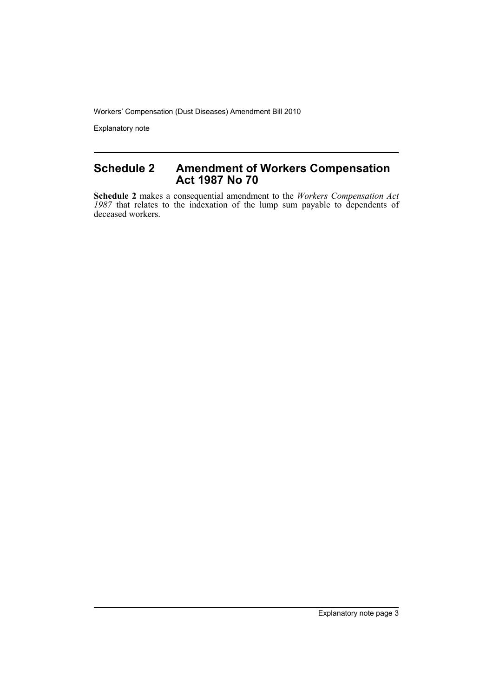Explanatory note

### **Schedule 2 Amendment of Workers Compensation Act 1987 No 70**

**Schedule 2** makes a consequential amendment to the *Workers Compensation Act 1987* that relates to the indexation of the lump sum payable to dependents of deceased workers.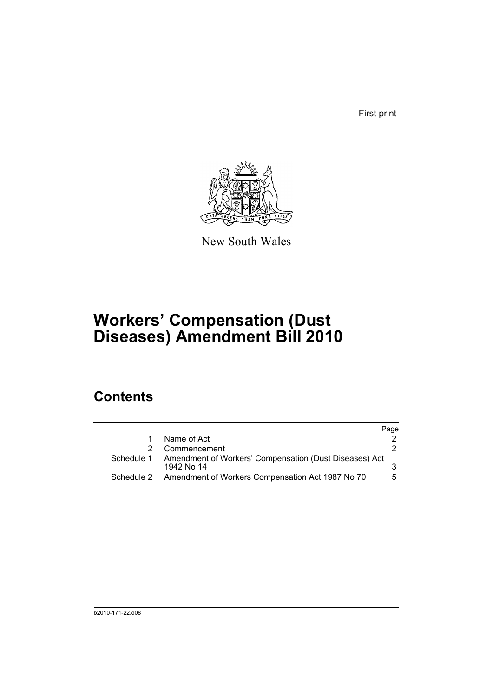First print



New South Wales

# **Workers' Compensation (Dust Diseases) Amendment Bill 2010**

## **Contents**

|            |                                                                      | Page |
|------------|----------------------------------------------------------------------|------|
|            | Name of Act                                                          |      |
|            | Commencement                                                         |      |
| Schedule 1 | Amendment of Workers' Compensation (Dust Diseases) Act<br>1942 No 14 |      |
|            | Schedule 2 Amendment of Workers Compensation Act 1987 No 70          | 5    |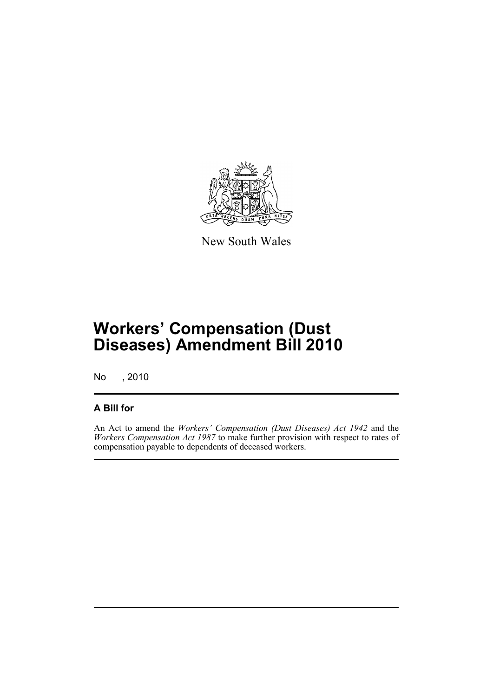

New South Wales

# **Workers' Compensation (Dust Diseases) Amendment Bill 2010**

No , 2010

### **A Bill for**

An Act to amend the *Workers' Compensation (Dust Diseases) Act 1942* and the *Workers Compensation Act 1987* to make further provision with respect to rates of compensation payable to dependents of deceased workers.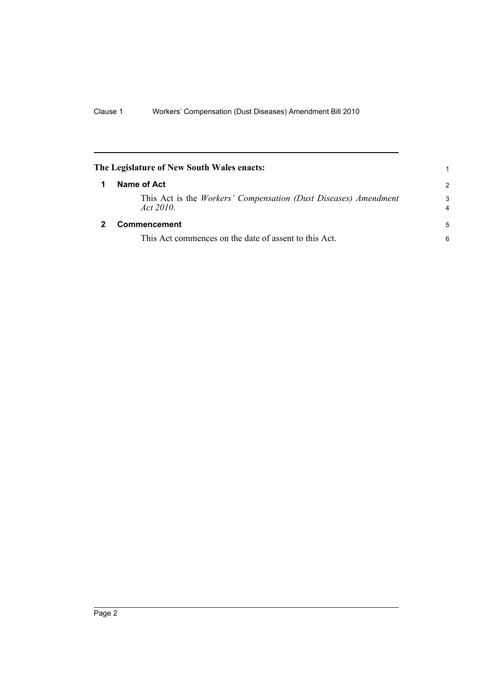<span id="page-7-1"></span><span id="page-7-0"></span>

| The Legislature of New South Wales enacts:                                             |                     |
|----------------------------------------------------------------------------------------|---------------------|
| Name of Act                                                                            |                     |
| This Act is the <i>Workers' Compensation (Dust Diseases) Amendment</i><br>Act $2010$ . | 3<br>$\overline{4}$ |
| <b>Commencement</b>                                                                    | 5                   |
| This Act commences on the date of assent to this Act.                                  | 6                   |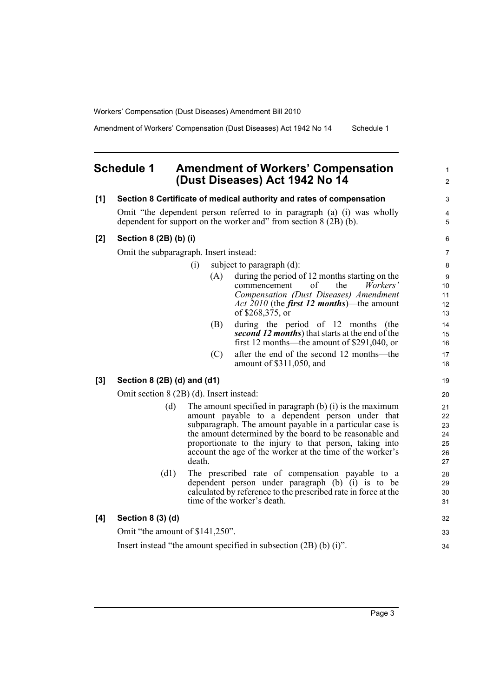Amendment of Workers' Compensation (Dust Diseases) Act 1942 No 14 Schedule 1

#### <span id="page-8-0"></span>**Schedule 1 Amendment of Workers' Compensation (Dust Diseases) Act 1942 No 14**

#### **[1] Section 8 Certificate of medical authority and rates of compensation** Omit "the dependent person referred to in paragraph (a) (i) was wholly dependent for support on the worker and" from section  $8(2B)(b)$ . **[2] Section 8 (2B) (b) (i)** Omit the subparagraph. Insert instead: (i) subject to paragraph (d): (A) during the period of 12 months starting on the commencement of the *Workers' Compensation (Dust Diseases) Amendment Act 2010* (the *first 12 months*)—the amount of \$268,375, or (B) during the period of 12 months (the *second 12 months*) that starts at the end of the first 12 months—the amount of \$291,040, or (C) after the end of the second 12 months—the amount of \$311,050, and **[3] Section 8 (2B) (d) and (d1)** Omit section 8 (2B) (d). Insert instead: (d) The amount specified in paragraph (b) (i) is the maximum amount payable to a dependent person under that subparagraph. The amount payable in a particular case is the amount determined by the board to be reasonable and proportionate to the injury to that person, taking into account the age of the worker at the time of the worker's death. (d1) The prescribed rate of compensation payable to a dependent person under paragraph (b) (i) is to be calculated by reference to the prescribed rate in force at the time of the worker's death. **[4] Section 8 (3) (d)** Omit "the amount of \$141,250". 10 11 12 13 14 15 16 17 18 19 20 21 22 23 24 25 26 27 28 29 30 31 32 33

Insert instead "the amount specified in subsection (2B) (b) (i)".

1  $\mathfrak{p}$ 

 $\overline{a}$ 4 5

34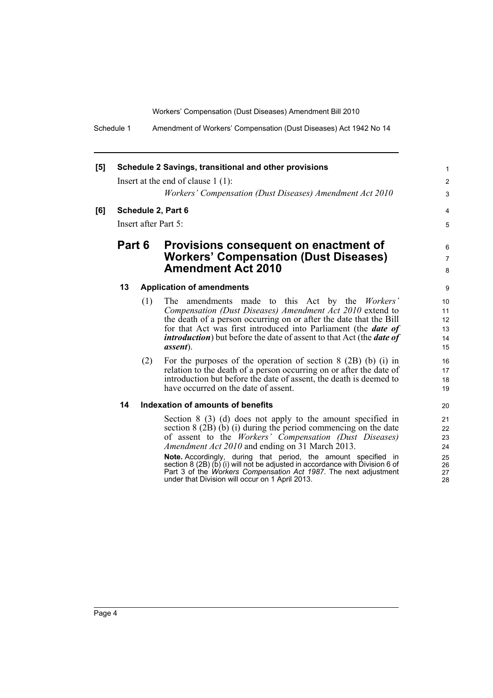Schedule 1 Amendment of Workers' Compensation (Dust Diseases) Act 1942 No 14

| [5] |                      |        | Schedule 2 Savings, transitional and other provisions                                                               | 1               |
|-----|----------------------|--------|---------------------------------------------------------------------------------------------------------------------|-----------------|
|     |                      |        | Insert at the end of clause $1(1)$ :                                                                                | $\overline{2}$  |
|     |                      |        | Workers' Compensation (Dust Diseases) Amendment Act 2010                                                            | 3               |
| [6] |                      |        | Schedule 2, Part 6                                                                                                  | $\overline{4}$  |
|     | Insert after Part 5: |        | 5                                                                                                                   |                 |
|     |                      | Part 6 | Provisions consequent on enactment of                                                                               | 6               |
|     |                      |        | <b>Workers' Compensation (Dust Diseases)</b>                                                                        | $\overline{7}$  |
|     |                      |        | <b>Amendment Act 2010</b>                                                                                           | 8               |
|     | 13                   |        | <b>Application of amendments</b>                                                                                    | 9               |
|     |                      | (1)    | The amendments made to this Act by the Workers'                                                                     | 10 <sup>°</sup> |
|     |                      |        | Compensation (Dust Diseases) Amendment Act 2010 extend to                                                           | 11              |
|     |                      |        | the death of a person occurring on or after the date that the Bill                                                  | 12              |
|     |                      |        | for that Act was first introduced into Parliament (the <i>date of</i>                                               | 13              |
|     |                      |        | <i>introduction</i> ) but before the date of assent to that Act (the <i>date of</i>                                 | 14              |
|     |                      |        | <i>assent</i> ).                                                                                                    | 15              |
|     |                      | (2)    | For the purposes of the operation of section $8$ (2B) (b) (i) in                                                    | 16              |
|     |                      |        | relation to the death of a person occurring on or after the date of                                                 | 17              |
|     |                      |        | introduction but before the date of assent, the death is deemed to                                                  | 18              |
|     |                      |        | have occurred on the date of assent.                                                                                | 19              |
|     | 14                   |        | Indexation of amounts of benefits                                                                                   | 20              |
|     |                      |        | Section 8 (3) (d) does not apply to the amount specified in                                                         | 21              |
|     |                      |        | section 8 (2B) (b) (i) during the period commencing on the date                                                     | 22              |
|     |                      |        | of assent to the Workers' Compensation (Dust Diseases)                                                              | 23              |
|     |                      |        | <i>Amendment Act 2010</i> and ending on 31 March 2013.                                                              | 24              |
|     |                      |        | Note. Accordingly, during that period, the amount specified in                                                      | 25              |
|     |                      |        | section 8 (2B) $(b)$ (i) will not be adjusted in accordance with Division 6 of                                      | 26              |
|     |                      |        | Part 3 of the Workers Compensation Act 1987. The next adjustment<br>under that Division will occur on 1 April 2013. | 27<br>28        |